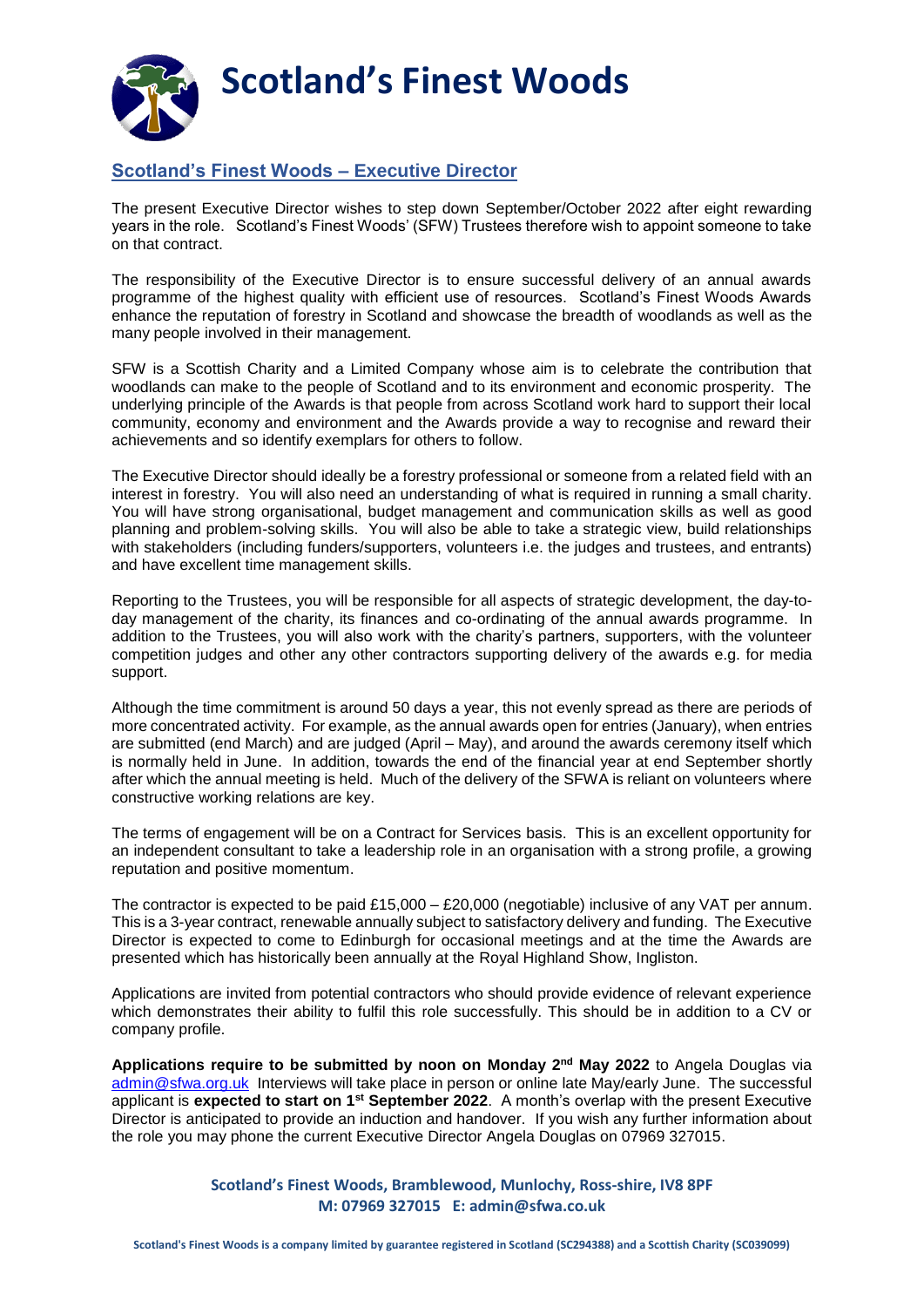

## **Scotland's Finest Woods – Executive Director**

The present Executive Director wishes to step down September/October 2022 after eight rewarding years in the role. Scotland's Finest Woods' (SFW) Trustees therefore wish to appoint someone to take on that contract.

The responsibility of the Executive Director is to ensure successful delivery of an annual awards programme of the highest quality with efficient use of resources. Scotland's Finest Woods Awards enhance the reputation of forestry in Scotland and showcase the breadth of woodlands as well as the many people involved in their management.

SFW is a Scottish Charity and a Limited Company whose aim is to celebrate the contribution that woodlands can make to the people of Scotland and to its environment and economic prosperity. The underlying principle of the Awards is that people from across Scotland work hard to support their local community, economy and environment and the Awards provide a way to recognise and reward their achievements and so identify exemplars for others to follow.

The Executive Director should ideally be a forestry professional or someone from a related field with an interest in forestry. You will also need an understanding of what is required in running a small charity. You will have strong organisational, budget management and communication skills as well as good planning and problem-solving skills. You will also be able to take a strategic view, build relationships with stakeholders (including funders/supporters, volunteers i.e. the judges and trustees, and entrants) and have excellent time management skills.

Reporting to the Trustees, you will be responsible for all aspects of strategic development, the day-today management of the charity, its finances and co-ordinating of the annual awards programme. In addition to the Trustees, you will also work with the charity's partners, supporters, with the volunteer competition judges and other any other contractors supporting delivery of the awards e.g. for media support.

Although the time commitment is around 50 days a year, this not evenly spread as there are periods of more concentrated activity. For example, as the annual awards open for entries (January), when entries are submitted (end March) and are judged (April – May), and around the awards ceremony itself which is normally held in June. In addition, towards the end of the financial year at end September shortly after which the annual meeting is held. Much of the delivery of the SFWA is reliant on volunteers where constructive working relations are key.

The terms of engagement will be on a Contract for Services basis. This is an excellent opportunity for an independent consultant to take a leadership role in an organisation with a strong profile, a growing reputation and positive momentum.

The contractor is expected to be paid £15,000 – £20,000 (negotiable) inclusive of any VAT per annum. This is a 3-year contract, renewable annually subject to satisfactory delivery and funding. The Executive Director is expected to come to Edinburgh for occasional meetings and at the time the Awards are presented which has historically been annually at the Royal Highland Show, Ingliston.

Applications are invited from potential contractors who should provide evidence of relevant experience which demonstrates their ability to fulfil this role successfully. This should be in addition to a CV or company profile.

**Applications require to be submitted by noon on Monday 2nd May 2022** to Angela Douglas via [admin@sfwa.org.uk](mailto:admin@sfwa.org.uk) Interviews will take place in person or online late May/early June. The successful applicant is **expected to start on 1st September 2022**. A month's overlap with the present Executive Director is anticipated to provide an induction and handover. If you wish any further information about the role you may phone the current Executive Director Angela Douglas on 07969 327015.

> **Scotland's Finest Woods, Bramblewood, Munlochy, Ross-shire, IV8 8PF M: 07969 327015 E: admin@sfwa.co.uk**